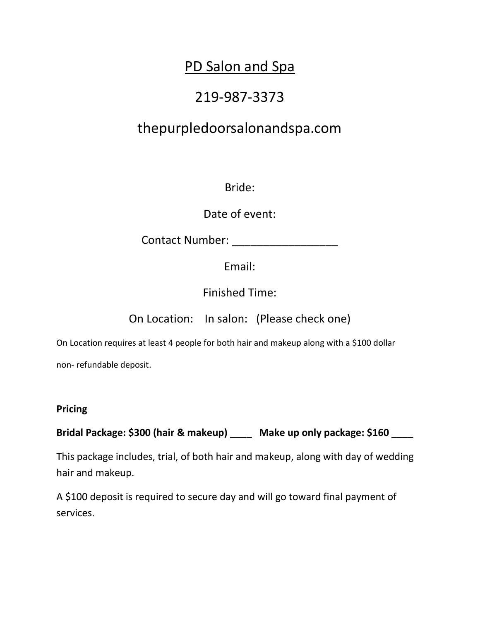# PD Salon and Spa

# 219-987-3373

# thepurpledoorsalonandspa.com

Bride:

Date of event:

Contact Number: \_\_\_\_\_\_\_\_\_\_\_\_\_\_\_\_\_

Email:

Finished Time:

On Location: In salon: (Please check one)

On Location requires at least 4 people for both hair and makeup along with a \$100 dollar

non- refundable deposit.

#### **Pricing**

**Bridal Package: \$300 (hair & makeup) \_\_\_\_ Make up only package: \$160 \_\_\_\_** 

This package includes, trial, of both hair and makeup, along with day of wedding hair and makeup.

A \$100 deposit is required to secure day and will go toward final payment of services.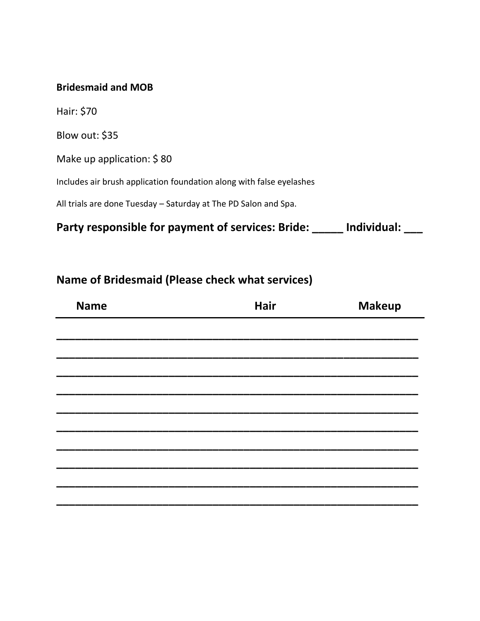#### **Bridesmaid and MOB**

Hair: \$70

Blow out: \$35

Make up application: \$ 80

Includes air brush application foundation along with false eyelashes

All trials are done Tuesday – Saturday at The PD Salon and Spa.

**Party responsible for payment of services: Bride: \_\_\_\_\_ Individual: \_\_\_**

### **Name of Bridesmaid (Please check what services)**

| <b>Name</b> | <b>Hair</b> | <b>Makeup</b> |  |
|-------------|-------------|---------------|--|
|             |             |               |  |
|             |             |               |  |
|             |             |               |  |
|             |             |               |  |
|             |             |               |  |
|             |             |               |  |
|             |             |               |  |
|             |             |               |  |
|             |             |               |  |
|             |             |               |  |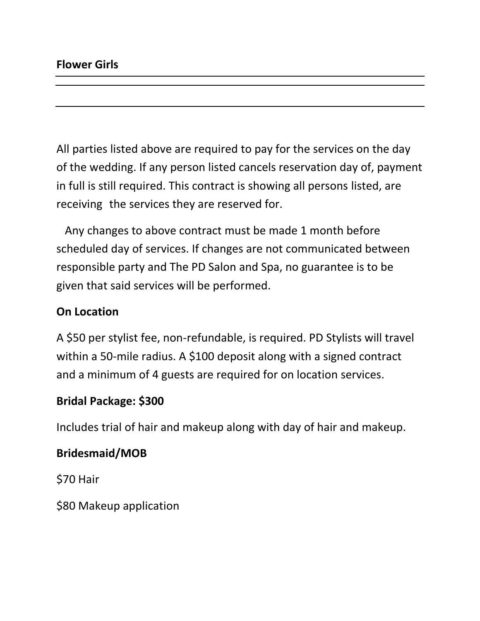All parties listed above are required to pay for the services on the day of the wedding. If any person listed cancels reservation day of, payment in full is still required. This contract is showing all persons listed, are receiving the services they are reserved for.

 Any changes to above contract must be made 1 month before scheduled day of services. If changes are not communicated between responsible party and The PD Salon and Spa, no guarantee is to be given that said services will be performed.

### **On Location**

A \$50 per stylist fee, non-refundable, is required. PD Stylists will travel within a 50-mile radius. A \$100 deposit along with a signed contract and a minimum of 4 guests are required for on location services.

#### **Bridal Package: \$300**

Includes trial of hair and makeup along with day of hair and makeup.

### **Bridesmaid/MOB**

\$70 Hair

\$80 Makeup application